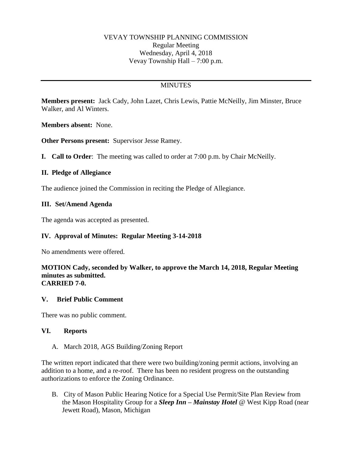### VEVAY TOWNSHIP PLANNING COMMISSION Regular Meeting Wednesday, April 4, 2018 Vevay Township Hall – 7:00 p.m.

# **MINUTES**

**Members present:** Jack Cady, John Lazet, Chris Lewis, Pattie McNeilly, Jim Minster, Bruce Walker, and Al Winters.

**Members absent:** None.

**Other Persons present:** Supervisor Jesse Ramey.

**I. Call to Order**: The meeting was called to order at 7:00 p.m. by Chair McNeilly.

### **II. Pledge of Allegiance**

The audience joined the Commission in reciting the Pledge of Allegiance.

### **III. Set/Amend Agenda**

The agenda was accepted as presented.

## **IV. Approval of Minutes: Regular Meeting 3-14-2018**

No amendments were offered.

#### **MOTION Cady, seconded by Walker, to approve the March 14, 2018, Regular Meeting minutes as submitted. CARRIED 7-0.**

#### **V. Brief Public Comment**

There was no public comment.

#### **VI. Reports**

#### A. March 2018, AGS Building/Zoning Report

The written report indicated that there were two building/zoning permit actions, involving an addition to a home, and a re-roof. There has been no resident progress on the outstanding authorizations to enforce the Zoning Ordinance.

B. City of Mason Public Hearing Notice for a Special Use Permit/Site Plan Review from the Mason Hospitality Group for a *Sleep Inn – Mainstay Hotel* @ West Kipp Road (near Jewett Road), Mason, Michigan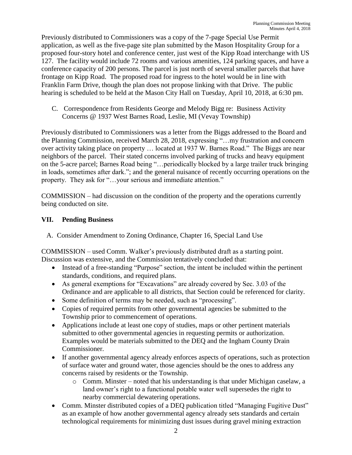Previously distributed to Commissioners was a copy of the 7-page Special Use Permit application, as well as the five-page site plan submitted by the Mason Hospitality Group for a proposed four-story hotel and conference center, just west of the Kipp Road interchange with US 127. The facility would include 72 rooms and various amenities, 124 parking spaces, and have a conference capacity of 200 persons. The parcel is just north of several smaller parcels that have frontage on Kipp Road. The proposed road for ingress to the hotel would be in line with Franklin Farm Drive, though the plan does not propose linking with that Drive. The public hearing is scheduled to be held at the Mason City Hall on Tuesday, April 10, 2018, at 6:30 pm.

C. Correspondence from Residents George and Melody Bigg re: Business Activity Concerns @ 1937 West Barnes Road, Leslie, MI (Vevay Township)

Previously distributed to Commissioners was a letter from the Biggs addressed to the Board and the Planning Commission, received March 28, 2018, expressing "…my frustration and concern over activity taking place on property … located at 1937 W. Barnes Road." The Biggs are near neighbors of the parcel. Their stated concerns involved parking of trucks and heavy equipment on the 5-acre parcel; Barnes Road being "…periodically blocked by a large trailer truck bringing in loads, sometimes after dark."; and the general nuisance of recently occurring operations on the property. They ask for "…your serious and immediate attention."

COMMISSION – had discussion on the condition of the property and the operations currently being conducted on site.

# **VII. Pending Business**

A. Consider Amendment to Zoning Ordinance, Chapter 16, Special Land Use

COMMISSION – used Comm. Walker's previously distributed draft as a starting point. Discussion was extensive, and the Commission tentatively concluded that:

- Instead of a free-standing "Purpose" section, the intent be included within the pertinent standards, conditions, and required plans.
- As general exemptions for "Excavations" are already covered by Sec. 3.03 of the Ordinance and are applicable to all districts, that Section could be referenced for clarity.
- Some definition of terms may be needed, such as "processing".
- Copies of required permits from other governmental agencies be submitted to the Township prior to commencement of operations.
- Applications include at least one copy of studies, maps or other pertinent materials submitted to other governmental agencies in requesting permits or authorization. Examples would be materials submitted to the DEQ and the Ingham County Drain Commissioner.
- If another governmental agency already enforces aspects of operations, such as protection of surface water and ground water, those agencies should be the ones to address any concerns raised by residents or the Township.
	- o Comm. Minster noted that his understanding is that under Michigan caselaw, a land owner's right to a functional potable water well supersedes the right to nearby commercial dewatering operations.
- Comm. Minster distributed copies of a DEQ publication titled "Managing Fugitive Dust" as an example of how another governmental agency already sets standards and certain technological requirements for minimizing dust issues during gravel mining extraction